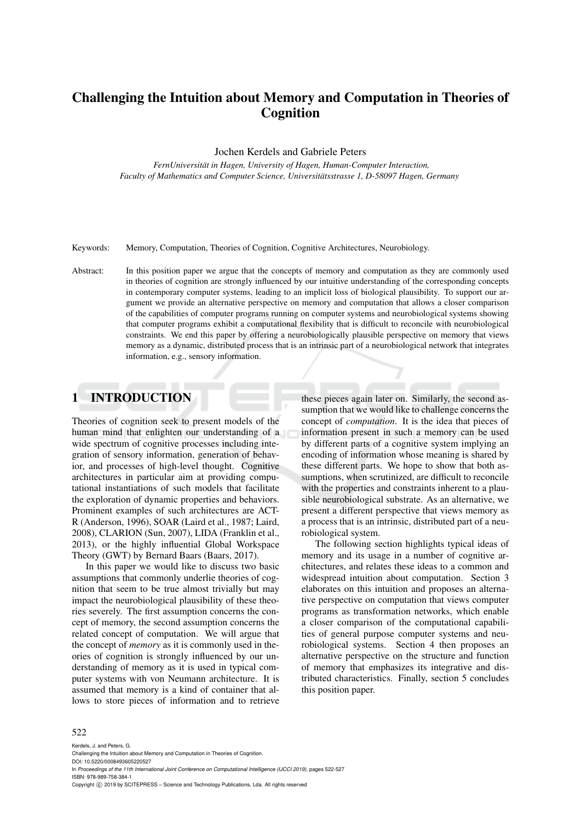# Challenging the Intuition about Memory and Computation in Theories of Cognition

Jochen Kerdels and Gabriele Peters

*FernUniversitat in Hagen, University of Hagen, Human-Computer Interaction, ¨ Faculty of Mathematics and Computer Science, Universitatsstrasse 1, D-58097 Hagen, Germany ¨*

Keywords: Memory, Computation, Theories of Cognition, Cognitive Architectures, Neurobiology.

Abstract: In this position paper we argue that the concepts of memory and computation as they are commonly used in theories of cognition are strongly influenced by our intuitive understanding of the corresponding concepts in contemporary computer systems, leading to an implicit loss of biological plausibility. To support our argument we provide an alternative perspective on memory and computation that allows a closer comparison of the capabilities of computer programs running on computer systems and neurobiological systems showing that computer programs exhibit a computational flexibility that is difficult to reconcile with neurobiological constraints. We end this paper by offering a neurobiologically plausible perspective on memory that views memory as a dynamic, distributed process that is an intrinsic part of a neurobiological network that integrates information, e.g., sensory information.

## 1 INTRODUCTION

Theories of cognition seek to present models of the human mind that enlighten our understanding of a wide spectrum of cognitive processes including integration of sensory information, generation of behavior, and processes of high-level thought. Cognitive architectures in particular aim at providing computational instantiations of such models that facilitate the exploration of dynamic properties and behaviors. Prominent examples of such architectures are ACT-R (Anderson, 1996), SOAR (Laird et al., 1987; Laird, 2008), CLARION (Sun, 2007), LIDA (Franklin et al., 2013), or the highly influential Global Workspace Theory (GWT) by Bernard Baars (Baars, 2017).

In this paper we would like to discuss two basic assumptions that commonly underlie theories of cognition that seem to be true almost trivially but may impact the neurobiological plausibility of these theories severely. The first assumption concerns the concept of memory, the second assumption concerns the related concept of computation. We will argue that the concept of *memory* as it is commonly used in theories of cognition is strongly influenced by our understanding of memory as it is used in typical computer systems with von Neumann architecture. It is assumed that memory is a kind of container that allows to store pieces of information and to retrieve

these pieces again later on. Similarly, the second assumption that we would like to challenge concerns the concept of *computation*. It is the idea that pieces of information present in such a memory can be used by different parts of a cognitive system implying an encoding of information whose meaning is shared by these different parts. We hope to show that both assumptions, when scrutinized, are difficult to reconcile with the properties and constraints inherent to a plausible neurobiological substrate. As an alternative, we present a different perspective that views memory as a process that is an intrinsic, distributed part of a neurobiological system.

The following section highlights typical ideas of memory and its usage in a number of cognitive architectures, and relates these ideas to a common and widespread intuition about computation. Section 3 elaborates on this intuition and proposes an alternative perspective on computation that views computer programs as transformation networks, which enable a closer comparison of the computational capabilities of general purpose computer systems and neurobiological systems. Section 4 then proposes an alternative perspective on the structure and function of memory that emphasizes its integrative and distributed characteristics. Finally, section 5 concludes this position paper.

#### 522

Kerdels, J. and Peters, G. Challenging the Intuition about Memory and Computation in Theories of Cognition. DOI: 10.5220/0008493605220527 In *Proceedings of the 11th International Joint Conference on Computational Intelligence (IJCCI 2019)*, pages 522-527 ISBN: 978-989-758-384-1 Copyright (C) 2019 by SCITEPRESS - Science and Technology Publications, Lda. All rights reserved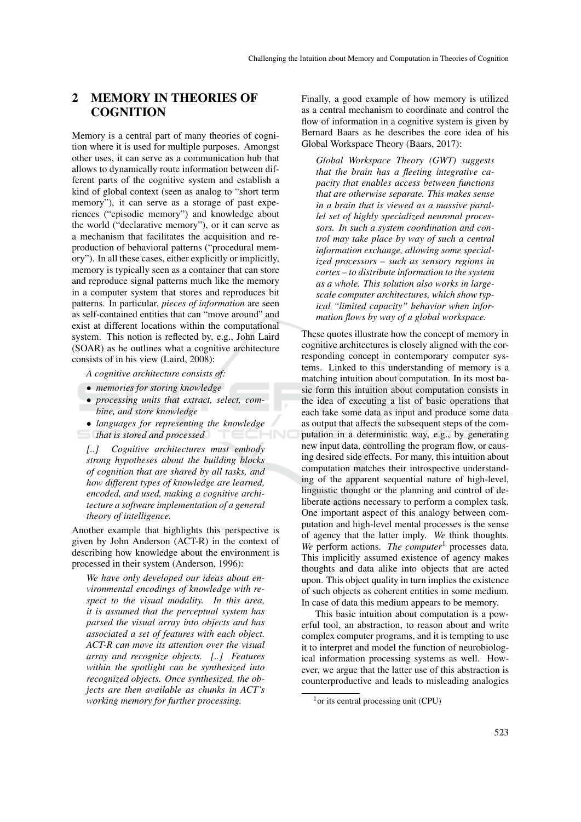## 2 MEMORY IN THEORIES OF **COGNITION**

Memory is a central part of many theories of cognition where it is used for multiple purposes. Amongst other uses, it can serve as a communication hub that allows to dynamically route information between different parts of the cognitive system and establish a kind of global context (seen as analog to "short term memory"), it can serve as a storage of past experiences ("episodic memory") and knowledge about the world ("declarative memory"), or it can serve as a mechanism that facilitates the acquisition and reproduction of behavioral patterns ("procedural memory"). In all these cases, either explicitly or implicitly, memory is typically seen as a container that can store and reproduce signal patterns much like the memory in a computer system that stores and reproduces bit patterns. In particular, *pieces of information* are seen as self-contained entities that can "move around" and exist at different locations within the computational system. This notion is reflected by, e.g., John Laird (SOAR) as he outlines what a cognitive architecture consists of in his view (Laird, 2008):

*A cognitive architecture consists of:*

- *memories for storing knowledge*
- *processing units that extract, select, combine, and store knowledge*
- *languages for representing the knowledge*
- *that is stored and processed*

*[..] Cognitive architectures must embody strong hypotheses about the building blocks of cognition that are shared by all tasks, and how different types of knowledge are learned, encoded, and used, making a cognitive architecture a software implementation of a general theory of intelligence.*

Another example that highlights this perspective is given by John Anderson (ACT-R) in the context of describing how knowledge about the environment is processed in their system (Anderson, 1996):

*We have only developed our ideas about environmental encodings of knowledge with respect to the visual modality. In this area, it is assumed that the perceptual system has parsed the visual array into objects and has associated a set of features with each object. ACT-R can move its attention over the visual array and recognize objects. [..] Features within the spotlight can be synthesized into recognized objects. Once synthesized, the objects are then available as chunks in ACT's working memory for further processing.*

Finally, a good example of how memory is utilized as a central mechanism to coordinate and control the flow of information in a cognitive system is given by Bernard Baars as he describes the core idea of his Global Workspace Theory (Baars, 2017):

*Global Workspace Theory (GWT) suggests that the brain has a fleeting integrative capacity that enables access between functions that are otherwise separate. This makes sense in a brain that is viewed as a massive parallel set of highly specialized neuronal processors. In such a system coordination and control may take place by way of such a central information exchange, allowing some specialized processors – such as sensory regions in cortex – to distribute information to the system as a whole. This solution also works in largescale computer architectures, which show typical "limited capacity" behavior when information flows by way of a global workspace.*

These quotes illustrate how the concept of memory in cognitive architectures is closely aligned with the corresponding concept in contemporary computer systems. Linked to this understanding of memory is a matching intuition about computation. In its most basic form this intuition about computation consists in the idea of executing a list of basic operations that each take some data as input and produce some data as output that affects the subsequent steps of the computation in a deterministic way, e.g., by generating new input data, controlling the program flow, or causing desired side effects. For many, this intuition about computation matches their introspective understanding of the apparent sequential nature of high-level, linguistic thought or the planning and control of deliberate actions necessary to perform a complex task. One important aspect of this analogy between computation and high-level mental processes is the sense of agency that the latter imply. *We* think thoughts. *We* perform actions. *The computer*<sup>1</sup> processes data. This implicitly assumed existence of agency makes thoughts and data alike into objects that are acted upon. This object quality in turn implies the existence of such objects as coherent entities in some medium. In case of data this medium appears to be memory.

This basic intuition about computation is a powerful tool, an abstraction, to reason about and write complex computer programs, and it is tempting to use it to interpret and model the function of neurobiological information processing systems as well. However, we argue that the latter use of this abstraction is counterproductive and leads to misleading analogies

 $<sup>1</sup>$ or its central processing unit (CPU)</sup>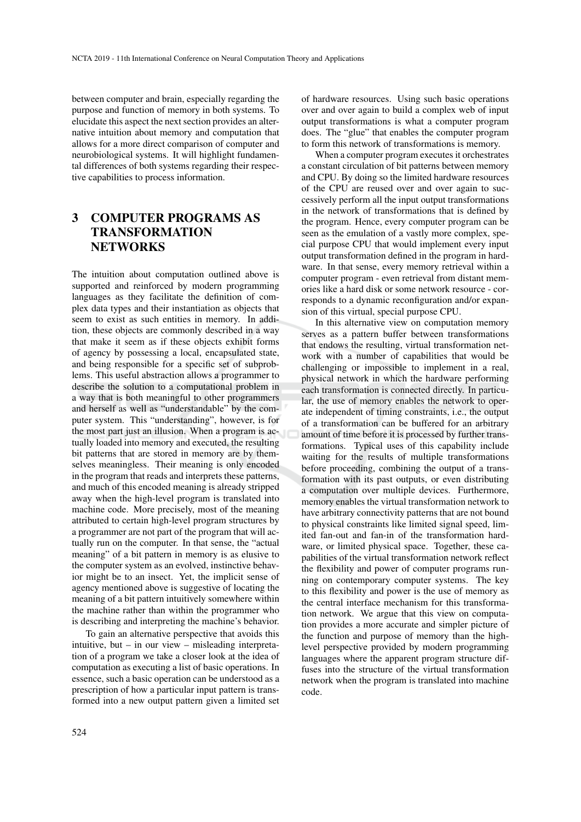between computer and brain, especially regarding the purpose and function of memory in both systems. To elucidate this aspect the next section provides an alternative intuition about memory and computation that allows for a more direct comparison of computer and neurobiological systems. It will highlight fundamental differences of both systems regarding their respective capabilities to process information.

## 3 COMPUTER PROGRAMS AS TRANSFORMATION **NETWORKS**

The intuition about computation outlined above is supported and reinforced by modern programming languages as they facilitate the definition of complex data types and their instantiation as objects that seem to exist as such entities in memory. In addition, these objects are commonly described in a way that make it seem as if these objects exhibit forms of agency by possessing a local, encapsulated state, and being responsible for a specific set of subproblems. This useful abstraction allows a programmer to describe the solution to a computational problem in a way that is both meaningful to other programmers and herself as well as "understandable" by the computer system. This "understanding", however, is for the most part just an illusion. When a program is actually loaded into memory and executed, the resulting bit patterns that are stored in memory are by themselves meaningless. Their meaning is only encoded in the program that reads and interprets these patterns, and much of this encoded meaning is already stripped away when the high-level program is translated into machine code. More precisely, most of the meaning attributed to certain high-level program structures by a programmer are not part of the program that will actually run on the computer. In that sense, the "actual meaning" of a bit pattern in memory is as elusive to the computer system as an evolved, instinctive behavior might be to an insect. Yet, the implicit sense of agency mentioned above is suggestive of locating the meaning of a bit pattern intuitively somewhere within the machine rather than within the programmer who is describing and interpreting the machine's behavior.

To gain an alternative perspective that avoids this intuitive, but – in our view – misleading interpretation of a program we take a closer look at the idea of computation as executing a list of basic operations. In essence, such a basic operation can be understood as a prescription of how a particular input pattern is transformed into a new output pattern given a limited set of hardware resources. Using such basic operations over and over again to build a complex web of input output transformations is what a computer program does. The "glue" that enables the computer program to form this network of transformations is memory.

When a computer program executes it orchestrates a constant circulation of bit patterns between memory and CPU. By doing so the limited hardware resources of the CPU are reused over and over again to successively perform all the input output transformations in the network of transformations that is defined by the program. Hence, every computer program can be seen as the emulation of a vastly more complex, special purpose CPU that would implement every input output transformation defined in the program in hardware. In that sense, every memory retrieval within a computer program - even retrieval from distant memories like a hard disk or some network resource - corresponds to a dynamic reconfiguration and/or expansion of this virtual, special purpose CPU.

In this alternative view on computation memory serves as a pattern buffer between transformations that endows the resulting, virtual transformation network with a number of capabilities that would be challenging or impossible to implement in a real, physical network in which the hardware performing each transformation is connected directly. In particular, the use of memory enables the network to operate independent of timing constraints, i.e., the output of a transformation can be buffered for an arbitrary amount of time before it is processed by further transformations. Typical uses of this capability include waiting for the results of multiple transformations before proceeding, combining the output of a transformation with its past outputs, or even distributing a computation over multiple devices. Furthermore, memory enables the virtual transformation network to have arbitrary connectivity patterns that are not bound to physical constraints like limited signal speed, limited fan-out and fan-in of the transformation hardware, or limited physical space. Together, these capabilities of the virtual transformation network reflect the flexibility and power of computer programs running on contemporary computer systems. The key to this flexibility and power is the use of memory as the central interface mechanism for this transformation network. We argue that this view on computation provides a more accurate and simpler picture of the function and purpose of memory than the highlevel perspective provided by modern programming languages where the apparent program structure diffuses into the structure of the virtual transformation network when the program is translated into machine code.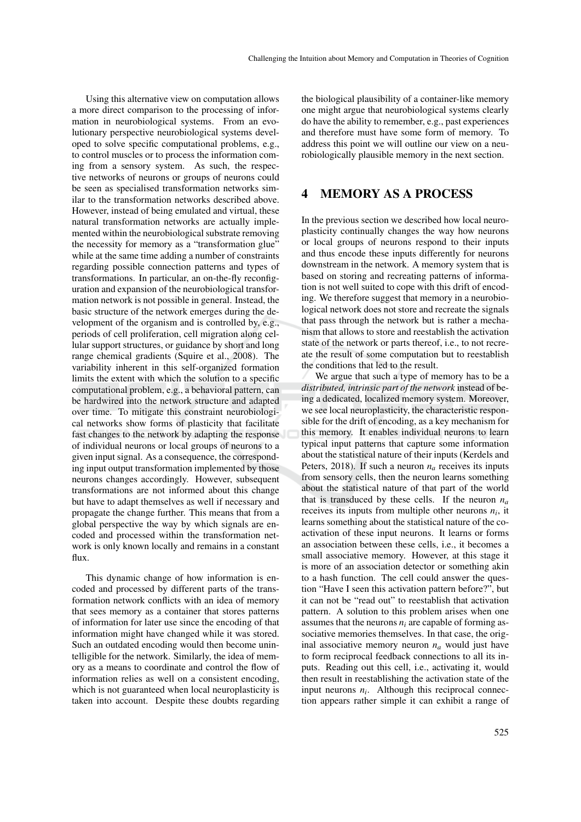Using this alternative view on computation allows a more direct comparison to the processing of information in neurobiological systems. From an evolutionary perspective neurobiological systems developed to solve specific computational problems, e.g., to control muscles or to process the information coming from a sensory system. As such, the respective networks of neurons or groups of neurons could be seen as specialised transformation networks similar to the transformation networks described above. However, instead of being emulated and virtual, these natural transformation networks are actually implemented within the neurobiological substrate removing the necessity for memory as a "transformation glue" while at the same time adding a number of constraints regarding possible connection patterns and types of transformations. In particular, an on-the-fly reconfiguration and expansion of the neurobiological transformation network is not possible in general. Instead, the basic structure of the network emerges during the development of the organism and is controlled by, e.g., periods of cell proliferation, cell migration along cellular support structures, or guidance by short and long range chemical gradients (Squire et al., 2008). The variability inherent in this self-organized formation limits the extent with which the solution to a specific computational problem, e.g., a behavioral pattern, can be hardwired into the network structure and adapted over time. To mitigate this constraint neurobiological networks show forms of plasticity that facilitate fast changes to the network by adapting the response of individual neurons or local groups of neurons to a given input signal. As a consequence, the corresponding input output transformation implemented by those neurons changes accordingly. However, subsequent transformations are not informed about this change but have to adapt themselves as well if necessary and propagate the change further. This means that from a global perspective the way by which signals are encoded and processed within the transformation network is only known locally and remains in a constant flux.

This dynamic change of how information is encoded and processed by different parts of the transformation network conflicts with an idea of memory that sees memory as a container that stores patterns of information for later use since the encoding of that information might have changed while it was stored. Such an outdated encoding would then become unintelligible for the network. Similarly, the idea of memory as a means to coordinate and control the flow of information relies as well on a consistent encoding, which is not guaranteed when local neuroplasticity is taken into account. Despite these doubts regarding

the biological plausibility of a container-like memory one might argue that neurobiological systems clearly do have the ability to remember, e.g., past experiences and therefore must have some form of memory. To address this point we will outline our view on a neurobiologically plausible memory in the next section.

#### 4 MEMORY AS A PROCESS

In the previous section we described how local neuroplasticity continually changes the way how neurons or local groups of neurons respond to their inputs and thus encode these inputs differently for neurons downstream in the network. A memory system that is based on storing and recreating patterns of information is not well suited to cope with this drift of encoding. We therefore suggest that memory in a neurobiological network does not store and recreate the signals that pass through the network but is rather a mechanism that allows to store and reestablish the activation state of the network or parts thereof, i.e., to not recreate the result of some computation but to reestablish the conditions that led to the result.

We argue that such a type of memory has to be a *distributed, intrinsic part of the network* instead of being a dedicated, localized memory system. Moreover, we see local neuroplasticity, the characteristic responsible for the drift of encoding, as a key mechanism for this memory. It enables individual neurons to learn typical input patterns that capture some information about the statistical nature of their inputs (Kerdels and Peters, 2018). If such a neuron  $n_a$  receives its inputs from sensory cells, then the neuron learns something about the statistical nature of that part of the world that is transduced by these cells. If the neuron  $n_a$ receives its inputs from multiple other neurons  $n_i$ , it learns something about the statistical nature of the coactivation of these input neurons. It learns or forms an association between these cells, i.e., it becomes a small associative memory. However, at this stage it is more of an association detector or something akin to a hash function. The cell could answer the question "Have I seen this activation pattern before?", but it can not be "read out" to reestablish that activation pattern. A solution to this problem arises when one assumes that the neurons  $n_i$  are capable of forming associative memories themselves. In that case, the original associative memory neuron *n<sup>a</sup>* would just have to form reciprocal feedback connections to all its inputs. Reading out this cell, i.e., activating it, would then result in reestablishing the activation state of the input neurons  $n_i$ . Although this reciprocal connection appears rather simple it can exhibit a range of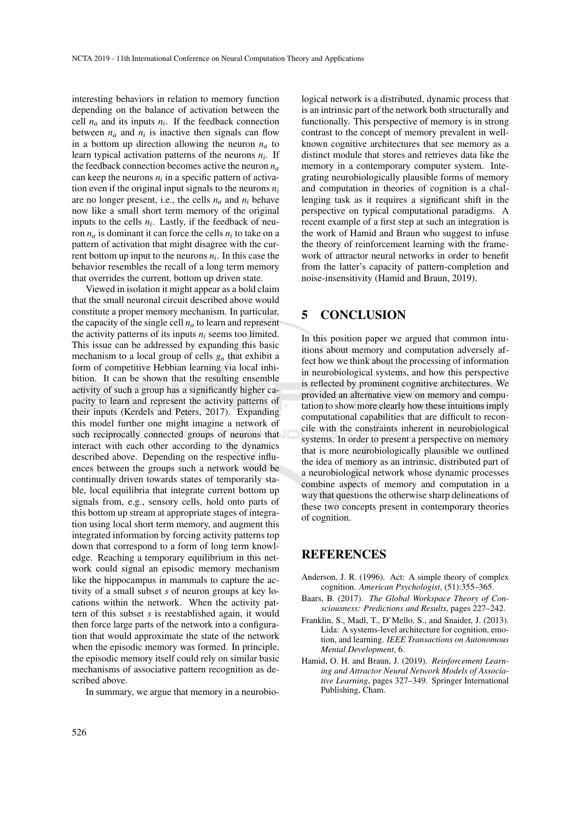interesting behaviors in relation to memory function depending on the balance of activation between the cell  $n_a$  and its inputs  $n_i$ . If the feedback connection between  $n_a$  and  $n_i$  is inactive then signals can flow in a bottom up direction allowing the neuron  $n_a$  to learn typical activation patterns of the neurons *n<sup>i</sup>* . If the feedback connection becomes active the neuron  $n_a$ can keep the neurons  $n_i$  in a specific pattern of activation even if the original input signals to the neurons  $n_i$ are no longer present, i.e., the cells  $n_a$  and  $n_i$  behave now like a small short term memory of the original inputs to the cells  $n_i$ . Lastly, if the feedback of neuron *n<sup>a</sup>* is dominant it can force the cells *n<sup>i</sup>* to take on a pattern of activation that might disagree with the current bottom up input to the neurons *n<sup>i</sup>* . In this case the behavior resembles the recall of a long term memory that overrides the current, bottom up driven state.

Viewed in isolation it might appear as a bold claim that the small neuronal circuit described above would constitute a proper memory mechanism. In particular, the capacity of the single cell  $n_a$  to learn and represent the activity patterns of its inputs  $n_i$  seems too limited. This issue can be addressed by expanding this basic mechanism to a local group of cells *g<sup>a</sup>* that exhibit a form of competitive Hebbian learning via local inhibition. It can be shown that the resulting ensemble activity of such a group has a significantly higher capacity to learn and represent the activity patterns of their inputs (Kerdels and Peters, 2017). Expanding this model further one might imagine a network of such reciprocally connected groups of neurons that interact with each other according to the dynamics described above. Depending on the respective influences between the groups such a network would be continually driven towards states of temporarily stable, local equilibria that integrate current bottom up signals from, e.g., sensory cells, hold onto parts of this bottom up stream at appropriate stages of integration using local short term memory, and augment this integrated information by forcing activity patterns top down that correspond to a form of long term knowledge. Reaching a temporary equilibrium in this network could signal an episodic memory mechanism like the hippocampus in mammals to capture the activity of a small subset *s* of neuron groups at key locations within the network. When the activity pattern of this subset *s* is reestablished again, it would then force large parts of the network into a configuration that would approximate the state of the network when the episodic memory was formed. In principle, the episodic memory itself could rely on similar basic mechanisms of associative pattern recognition as described above.

In summary, we argue that memory in a neurobio-

logical network is a distributed, dynamic process that is an intrinsic part of the network both structurally and functionally. This perspective of memory is in strong contrast to the concept of memory prevalent in wellknown cognitive architectures that see memory as a distinct module that stores and retrieves data like the memory in a contemporary computer system. Integrating neurobiologically plausible forms of memory and computation in theories of cognition is a challenging task as it requires a significant shift in the perspective on typical computational paradigms. A recent example of a first step at such an integration is the work of Hamid and Braun who suggest to infuse the theory of reinforcement learning with the framework of attractor neural networks in order to benefit from the latter's capacity of pattern-completion and noise-insensitivity (Hamid and Braun, 2019).

## 5 CONCLUSION

In this position paper we argued that common intuitions about memory and computation adversely affect how we think about the processing of information in neurobiological systems, and how this perspective is reflected by prominent cognitive architectures. We provided an alternative view on memory and computation to show more clearly how these intuitions imply computational capabilities that are difficult to reconcile with the constraints inherent in neurobiological systems. In order to present a perspective on memory that is more neurobiologically plausible we outlined the idea of memory as an intrinsic, distributed part of a neurobiological network whose dynamic processes combine aspects of memory and computation in a way that questions the otherwise sharp delineations of these two concepts present in contemporary theories of cognition.

## **REFERENCES**

- Anderson, J. R. (1996). Act: A simple theory of complex cognition. *American Psychologist*, (51):355–365.
- Baars, B. (2017). *The Global Workspace Theory of Consciousness: Predictions and Results*, pages 227–242.
- Franklin, S., Madl, T., D'Mello, S., and Snaider, J. (2013). Lida: A systems-level architecture for cognition, emotion, and learning. *IEEE Transactions on Autonomous Mental Development*, 6.
- Hamid, O. H. and Braun, J. (2019). *Reinforcement Learning and Attractor Neural Network Models of Associative Learning*, pages 327–349. Springer International Publishing, Cham.